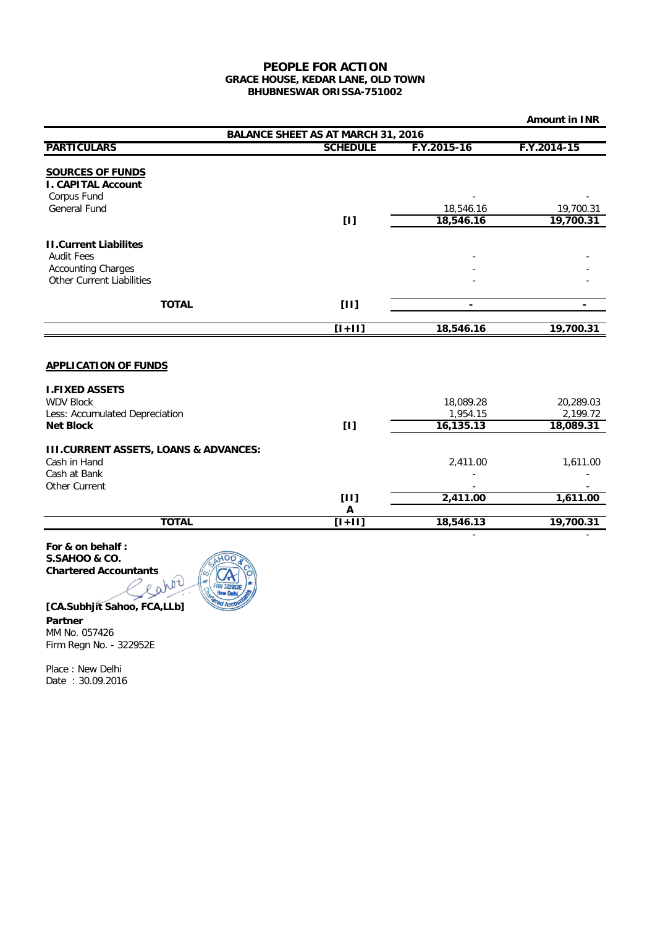## **BHUBNESWAR ORISSA-751002 PEOPLE FOR ACTION GRACE HOUSE, KEDAR LANE, OLD TOWN**

|                                                      |                 |                | <b>Amount in INR</b>     |  |  |
|------------------------------------------------------|-----------------|----------------|--------------------------|--|--|
| <b>BALANCE SHEET AS AT MARCH 31, 2016</b>            |                 |                |                          |  |  |
| <b>PARTICULARS</b>                                   | <b>SCHEDULE</b> | F.Y.2015-16    | F.Y.2014-15              |  |  |
|                                                      |                 |                |                          |  |  |
| <b>SOURCES OF FUNDS</b><br><b>I. CAPITAL Account</b> |                 |                |                          |  |  |
| Corpus Fund                                          |                 |                |                          |  |  |
| <b>General Fund</b>                                  |                 | 18,546.16      | 19,700.31                |  |  |
|                                                      | [1]             | 18,546.16      | 19,700.31                |  |  |
| <b>II.Current Liabilites</b>                         |                 |                |                          |  |  |
| <b>Audit Fees</b>                                    |                 |                |                          |  |  |
| <b>Accounting Charges</b>                            |                 |                |                          |  |  |
| <b>Other Current Liabilities</b>                     |                 |                |                          |  |  |
| <b>TOTAL</b>                                         | $[11]$          | $\blacksquare$ | $\overline{\phantom{0}}$ |  |  |
|                                                      |                 |                |                          |  |  |
|                                                      | $[1+11]$        | 18,546.16      | 19,700.31                |  |  |
|                                                      |                 |                |                          |  |  |
| <b>APPLICATION OF FUNDS</b>                          |                 |                |                          |  |  |
| <b>I.FIXED ASSETS</b>                                |                 |                |                          |  |  |
| <b>WDV Block</b>                                     |                 | 18,089.28      | 20,289.03                |  |  |
| Less: Accumulated Depreciation                       |                 | 1,954.15       | 2,199.72                 |  |  |
| <b>Net Block</b>                                     | [1]             | 16,135.13      | 18,089.31                |  |  |
| <b>III.CURRENT ASSETS, LOANS &amp; ADVANCES:</b>     |                 |                |                          |  |  |
| Cash in Hand                                         |                 | 2,411.00       | 1,611.00                 |  |  |
| Cash at Bank                                         |                 |                |                          |  |  |
| Other Current                                        |                 |                |                          |  |  |
|                                                      | [11]            | 2,411.00       | 1,611.00                 |  |  |
| <b>TOTAL</b>                                         | Α<br>$[1+11]$   | 18,546.13      | 19,700.31                |  |  |
|                                                      |                 | ä,             |                          |  |  |

**For & on behalf : S.SAHOO & CO.**



**[CA.Subhjit Sahoo, FCA,LLb]**

# **Partner**

MM No. 057426 Firm Regn No. - 322952E

Place : New Delhi Date : 30.09.2016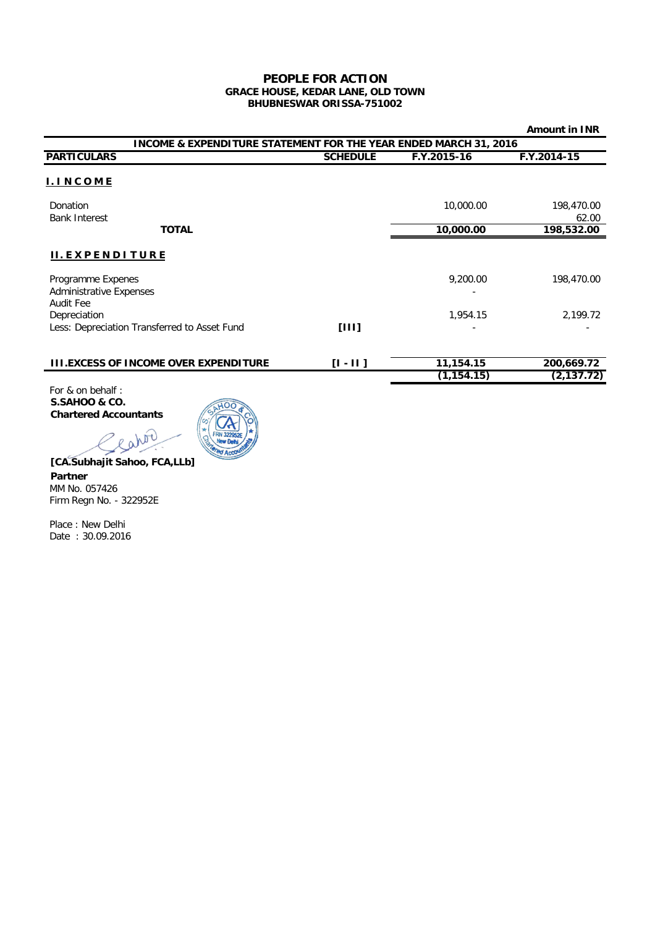#### **PEOPLE FOR ACTION GRACE HOUSE, KEDAR LANE, OLD TOWN BHUBNESWAR ORISSA-751002**

|                                                                             |                 |                          | <b>Amount in INR</b>      |  |  |
|-----------------------------------------------------------------------------|-----------------|--------------------------|---------------------------|--|--|
| <b>INCOME &amp; EXPENDITURE STATEMENT FOR THE YEAR ENDED MARCH 31, 2016</b> |                 |                          |                           |  |  |
| <b>PARTICULARS</b>                                                          | <b>SCHEDULE</b> | F.Y.2015-16              | F.Y.2014-15               |  |  |
| <b>I. INCOME</b>                                                            |                 |                          |                           |  |  |
| Donation<br><b>Bank Interest</b>                                            |                 | 10,000.00                | 198,470.00<br>62.00       |  |  |
| <b>TOTAL</b>                                                                |                 | 10,000.00                | 198,532.00                |  |  |
| II. EXPENDITURE<br>Programme Expenes<br><b>Administrative Expenses</b>      |                 | 9,200.00                 | 198,470.00                |  |  |
| Audit Fee<br>Depreciation<br>Less: Depreciation Transferred to Asset Fund   | [111]           | 1,954.15                 | 2,199.72                  |  |  |
| <b>III.EXCESS OF INCOME OVER EXPENDITURE</b>                                | $[1 - 11]$      | 11,154.15<br>(1, 154.15) | 200,669.72<br>(2, 137.72) |  |  |

For & on behalf : **S.SAHOO & CO. Chartered Accountants**



**[CA.Subhajit Sahoo, FCA,LLb] Partner** MM No. 057426 Firm Regn No. - 322952E

cator

Place : New Delhi Date : 30.09.2016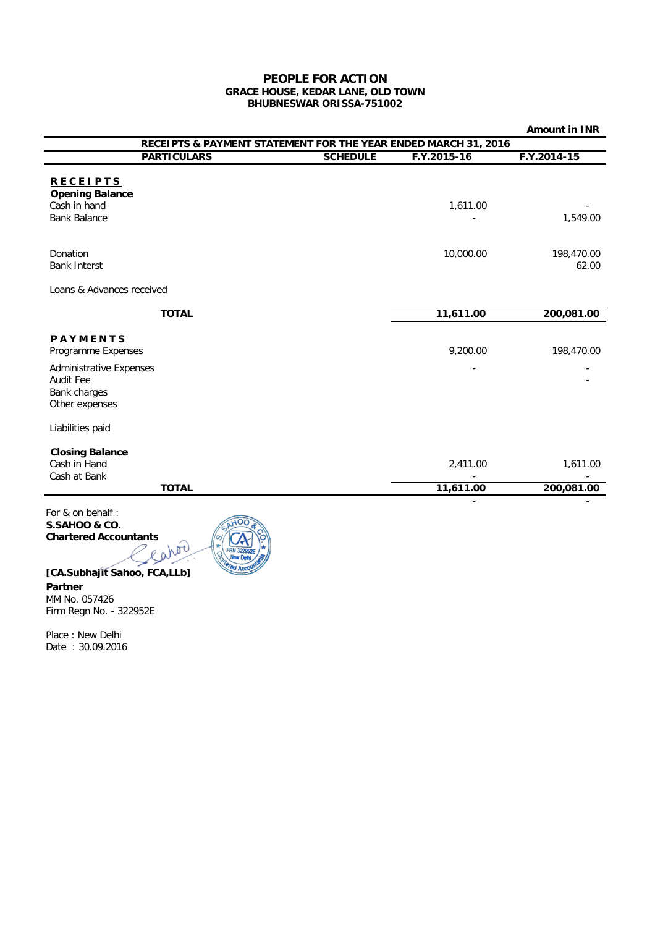## **PEOPLE FOR ACTION GRACE HOUSE, KEDAR LANE, OLD TOWN BHUBNESWAR ORISSA-751002**

| RECEIPTS & PAYMENT STATEMENT FOR THE YEAR ENDED MARCH 31, 2016 |                        |  |  |  |
|----------------------------------------------------------------|------------------------|--|--|--|
| F.Y.2015-16                                                    | $F.Y.2014-15$          |  |  |  |
| 1,611.00                                                       | 1,549.00               |  |  |  |
| 10,000.00                                                      | 198,470.00<br>62.00    |  |  |  |
|                                                                |                        |  |  |  |
| 11,611.00                                                      | 200,081.00             |  |  |  |
| 9,200.00                                                       | 198,470.00             |  |  |  |
|                                                                |                        |  |  |  |
| 2,411.00<br>11,611.00                                          | 1,611.00<br>200,081.00 |  |  |  |
|                                                                |                        |  |  |  |

For & on behalf : **S.SAHOO & CO. Chartered Accountants** 



# **[CA.Subhajit Sahoo, FCA,LLb]**

**Partner** MM No. 057426 Firm Regn No. - 322952E

Place : New Delhi Date : 30.09.2016